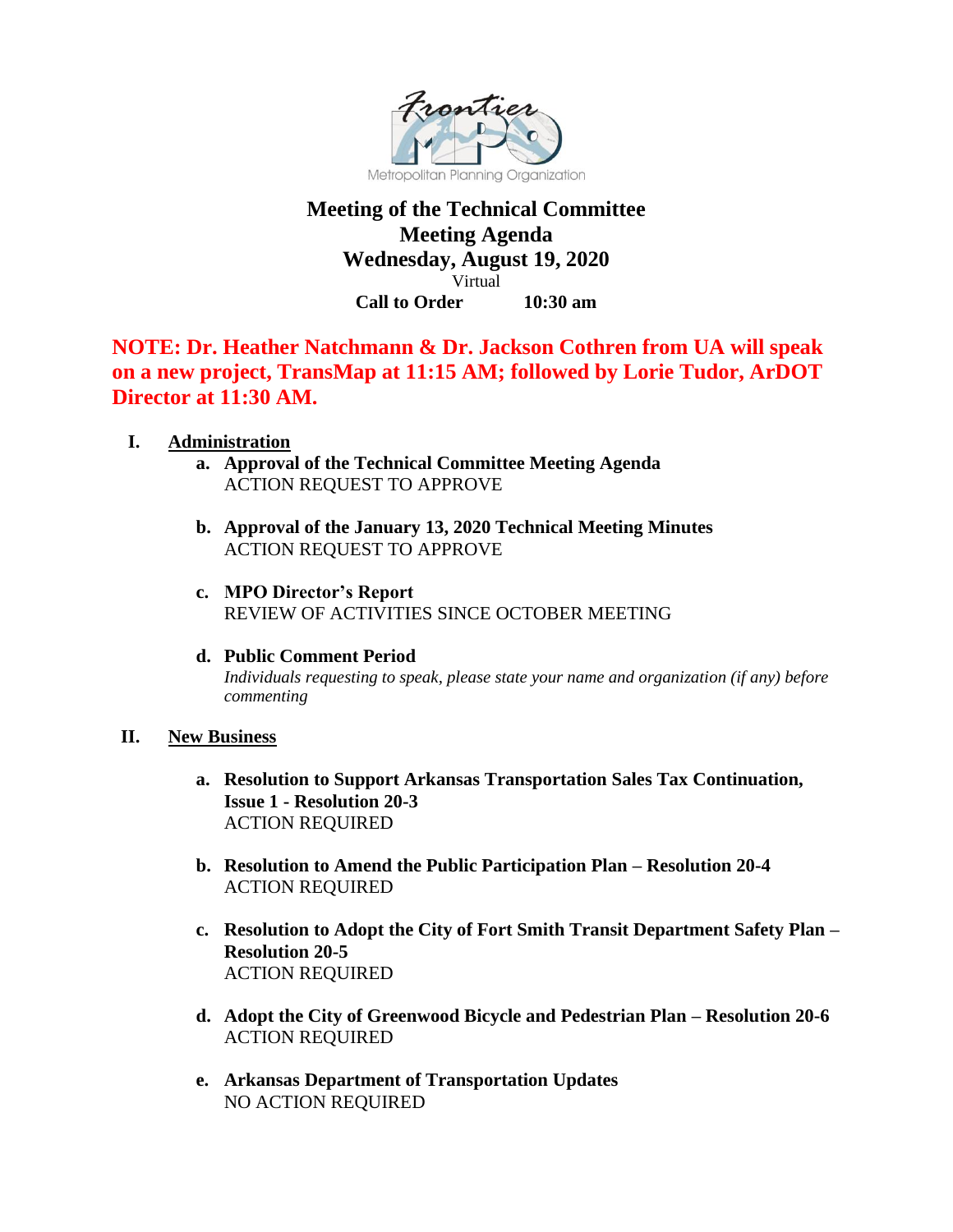

# **Meeting of the Technical Committee Meeting Agenda Wednesday, August 19, 2020** Virtual **Call to Order 10:30 am**

**NOTE: Dr. Heather Natchmann & Dr. Jackson Cothren from UA will speak on a new project, TransMap at 11:15 AM; followed by Lorie Tudor, ArDOT Director at 11:30 AM.**

## **I. Administration**

- **a. Approval of the Technical Committee Meeting Agenda** ACTION REQUEST TO APPROVE
- **b. Approval of the January 13, 2020 Technical Meeting Minutes**  ACTION REQUEST TO APPROVE
- **c. MPO Director's Report**  REVIEW OF ACTIVITIES SINCE OCTOBER MEETING
- **d. Public Comment Period** *Individuals requesting to speak, please state your name and organization (if any) before commenting*

#### **II. New Business**

- **a. Resolution to Support Arkansas Transportation Sales Tax Continuation, Issue 1 - Resolution 20-3** ACTION REQUIRED
- **b. Resolution to Amend the Public Participation Plan – Resolution 20-4** ACTION REQUIRED
- **c. Resolution to Adopt the City of Fort Smith Transit Department Safety Plan – Resolution 20-5** ACTION REQUIRED
- **d. Adopt the City of Greenwood Bicycle and Pedestrian Plan – Resolution 20-6** ACTION REQUIRED
- **e. Arkansas Department of Transportation Updates** NO ACTION REQUIRED